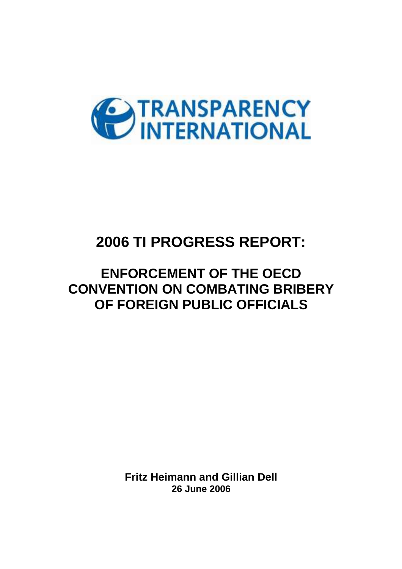

# **2006 TI PROGRESS REPORT:**

# **ENFORCEMENT OF THE OECD CONVENTION ON COMBATING BRIBERY OF FOREIGN PUBLIC OFFICIALS**

**Fritz Heimann and Gillian Dell 26 June 2006**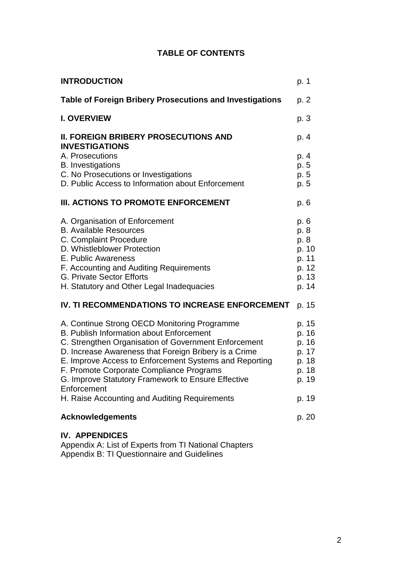| <b>INTRODUCTION</b>                                                                                           | p. 1           |
|---------------------------------------------------------------------------------------------------------------|----------------|
| <b>Table of Foreign Bribery Prosecutions and Investigations</b>                                               | p. 2           |
| <b>I. OVERVIEW</b>                                                                                            | p. 3           |
| <b>II. FOREIGN BRIBERY PROSECUTIONS AND</b><br><b>INVESTIGATIONS</b>                                          | p. 4           |
| A. Prosecutions                                                                                               | p. 4           |
| <b>B.</b> Investigations<br>C. No Prosecutions or Investigations                                              | p. 5<br>p. 5   |
| D. Public Access to Information about Enforcement                                                             | p. 5           |
| III. ACTIONS TO PROMOTE ENFORCEMENT                                                                           | p. 6           |
| A. Organisation of Enforcement                                                                                | p. 6           |
| <b>B. Available Resources</b><br>C. Complaint Procedure                                                       | p. 8           |
| D. Whistleblower Protection                                                                                   | p. 8<br>p. 10  |
| E. Public Awareness                                                                                           | p. 11          |
| F. Accounting and Auditing Requirements                                                                       | p. 12          |
| <b>G. Private Sector Efforts</b>                                                                              | p. 13          |
| H. Statutory and Other Legal Inadequacies                                                                     | p. 14          |
| IV. TI RECOMMENDATIONS TO INCREASE ENFORCEMENT                                                                | p. 15          |
| A. Continue Strong OECD Monitoring Programme                                                                  | p. 15          |
| B. Publish Information about Enforcement                                                                      | p. 16          |
| C. Strengthen Organisation of Government Enforcement<br>D. Increase Awareness that Foreign Bribery is a Crime | p. 16<br>p. 17 |
| E. Improve Access to Enforcement Systems and Reporting                                                        | p. 18          |
| F. Promote Corporate Compliance Programs                                                                      | p. 18          |
| G. Improve Statutory Framework to Ensure Effective                                                            | p. 19          |
| Enforcement<br>H. Raise Accounting and Auditing Requirements                                                  | p. 19          |
| <b>Acknowledgements</b>                                                                                       | p. 20          |
| <b>IV. APPENDICES</b>                                                                                         |                |

Appendix A: List of Experts from TI National Chapters Appendix B: TI Questionnaire and Guidelines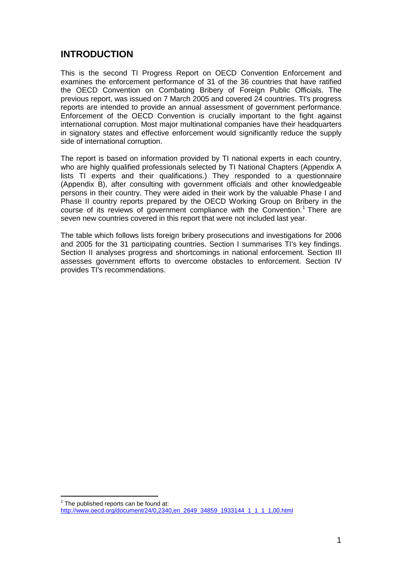# **INTRODUCTION**

This is the second TI Progress Report on OECD Convention Enforcement and examines the enforcement performance of 31 of the 36 countries that have ratified the OECD Convention on Combating Bribery of Foreign Public Officials. The previous report, was issued on 7 March 2005 and covered 24 countries. TI's progress reports are intended to provide an annual assessment of government performance. Enforcement of the OECD Convention is crucially important to the fight against international corruption. Most major multinational companies have their headquarters in signatory states and effective enforcement would significantly reduce the supply side of international corruption.

The report is based on information provided by TI national experts in each country, who are highly qualified professionals selected by TI National Chapters (Appendix A lists TI experts and their qualifications.) They responded to a questionnaire (Appendix B), after consulting with government officials and other knowledgeable persons in their country. They were aided in their work by the valuable Phase I and Phase II country reports prepared by the OECD Working Group on Bribery in the course of its reviews of government compliance with the Convention.<sup>1</sup> There are seven new countries covered in this report that were not included last year.

The table which follows lists foreign bribery prosecutions and investigations for 2006 and 2005 for the 31 participating countries. Section I summarises TI's key findings. Section II analyses progress and shortcomings in national enforcement. Section III assesses government efforts to overcome obstacles to enforcement. Section IV provides TI's recommendations.

 $\overline{a}$ 

 $1$  The published reports can be found at: http://www.oecd.org/document/24/0,2340,en\_2649\_34859\_1933144\_1\_1\_1\_1,00.html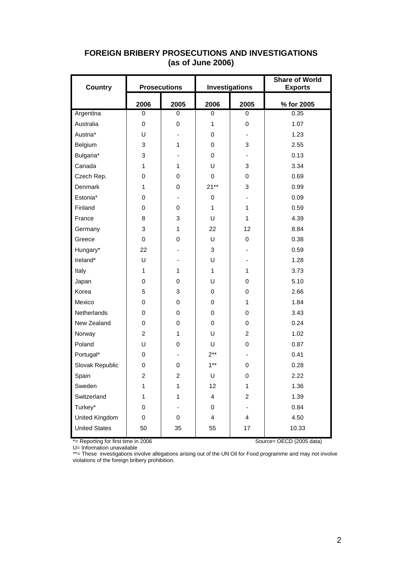| <b>Country</b>       |                | <b>Investigations</b><br><b>Prosecutions</b> |                         |                  | <b>Share of World</b><br><b>Exports</b> |
|----------------------|----------------|----------------------------------------------|-------------------------|------------------|-----------------------------------------|
|                      | 2006           | 2005                                         | 2006                    | 2005             | % for 2005                              |
| Argentina            | 0              | 0                                            | 0                       | 0                | 0.35                                    |
| Australia            | 0              | 0                                            | 1                       | 0                | 1.07                                    |
| Austria*             | U              |                                              | 0                       |                  | 1.23                                    |
| Belgium              | 3              | 1                                            | 0                       | 3                | 2.55                                    |
| Bulgaria*            | 3              |                                              | 0                       |                  | 0.13                                    |
| Canada               | $\mathbf{1}$   | $\mathbf{1}$                                 | U                       | 3                | 3.34                                    |
| Czech Rep.           | 0              | 0                                            | 0                       | 0                | 0.69                                    |
| Denmark              | 1              | 0                                            | $21**$                  | 3                | 0.99                                    |
| Estonia*             | 0              |                                              | $\pmb{0}$               |                  | 0.09                                    |
| Finland              | 0              | 0                                            | $\mathbf{1}$            | $\mathbf{1}$     | 0.59                                    |
| France               | 8              | 3                                            | U                       | $\mathbf{1}$     | 4.39                                    |
| Germany              | 3              | $\mathbf{1}$                                 | 22                      | 12               | 8.84                                    |
| Greece               | $\mathbf 0$    | 0                                            | U                       | $\mathbf 0$      | 0.38                                    |
| Hungary*             | 22             |                                              | 3                       |                  | 0.59                                    |
| Ireland*             | U              |                                              | U                       |                  | 1.28                                    |
| Italy                | 1              | $\mathbf{1}$                                 | $\mathbf{1}$            | $\mathbf{1}$     | 3.73                                    |
| Japan                | 0              | 0                                            | U                       | 0                | 5.10                                    |
| Korea                | 5              | 3                                            | 0                       | $\boldsymbol{0}$ | 2.66                                    |
| Mexico               | 0              | 0                                            | 0                       | $\mathbf{1}$     | 1.84                                    |
| Netherlands          | 0              | 0                                            | 0                       | $\boldsymbol{0}$ | 3.43                                    |
| New Zealand          | 0              | 0                                            | 0                       | 0                | 0.24                                    |
| Norway               | $\overline{c}$ | $\mathbf{1}$                                 | U                       | $\overline{c}$   | 1.02                                    |
| Poland               | U              | 0                                            | U                       | 0                | 0.87                                    |
| Portugal*            | 0              |                                              | $2***$                  |                  | 0.41                                    |
| Slovak Republic      | 0              | $\mathsf 0$                                  | $1***$                  | $\mathbf 0$      | 0.28                                    |
| Spain                | 2              | $\overline{c}$                               | U                       | 0                | 2.22                                    |
| Sweden               | 1              | $\mathbf 1$                                  | 12                      | $\mathbf{1}$     | 1.36                                    |
| Switzerland          | 1              | 1                                            | $\overline{\mathbf{4}}$ | $\overline{2}$   | 1.39                                    |
| Turkey*              | 0              |                                              | 0                       |                  | 0.84                                    |
| United Kingdom       | 0              | 0                                            | 4                       | 4                | 4.50                                    |
| <b>United States</b> | 50             | 35                                           | 55                      | 17               | 10.33                                   |

# **FOREIGN BRIBERY PROSECUTIONS AND INVESTIGATIONS (as of June 2006)**

\*= Reporting for first time in 2006 Source= OECD (2005 data)

U= Information unavailable

\*\*= These investigations involve allegations arising out of the UN Oil for Food programme and may not involve violations of the foreign bribery prohibition.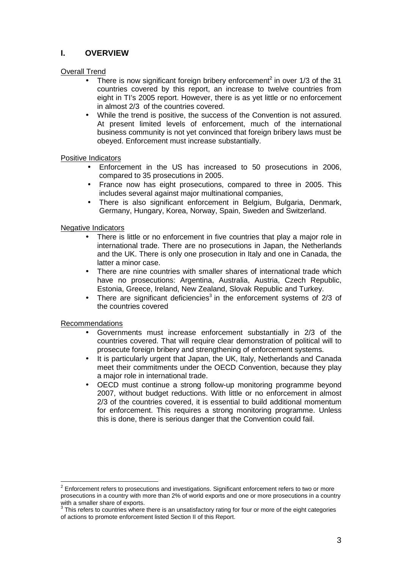# **I. OVERVIEW**

# Overall Trend

- There is now significant foreign bribery enforcement<sup>2</sup> in over  $1/3$  of the 31 countries covered by this report, an increase to twelve countries from eight in TI's 2005 report. However, there is as yet little or no enforcement in almost 2/3 of the countries covered.
- While the trend is positive, the success of the Convention is not assured. At present limited levels of enforcement, much of the international business community is not yet convinced that foreign bribery laws must be obeyed. Enforcement must increase substantially.

#### Positive Indicators

- Enforcement in the US has increased to 50 prosecutions in 2006, compared to 35 prosecutions in 2005.
- France now has eight prosecutions, compared to three in 2005. This includes several against major multinational companies,
- There is also significant enforcement in Belgium, Bulgaria, Denmark, Germany, Hungary, Korea, Norway, Spain, Sweden and Switzerland.

#### Negative Indicators

- There is little or no enforcement in five countries that play a major role in international trade. There are no prosecutions in Japan, the Netherlands and the UK. There is only one prosecution in Italy and one in Canada, the latter a minor case.
- There are nine countries with smaller shares of international trade which have no prosecutions: Argentina, Australia, Austria, Czech Republic, Estonia, Greece, Ireland, New Zealand, Slovak Republic and Turkey.
- There are significant deficiencies<sup>3</sup> in the enforcement systems of  $2/3$  of the countries covered

#### Recommendations

- Governments must increase enforcement substantially in 2/3 of the countries covered. That will require clear demonstration of political will to prosecute foreign bribery and strengthening of enforcement systems.
- It is particularly urgent that Japan, the UK, Italy, Netherlands and Canada meet their commitments under the OECD Convention, because they play a major role in international trade.
- OECD must continue a strong follow-up monitoring programme beyond 2007, without budget reductions. With little or no enforcement in almost 2/3 of the countries covered, it is essential to build additional momentum for enforcement. This requires a strong monitoring programme. Unless this is done, there is serious danger that the Convention could fail.

 2 Enforcement refers to prosecutions and investigations. Significant enforcement refers to two or more prosecutions in a country with more than 2% of world exports and one or more prosecutions in a country

with a smaller share of exports.<br><sup>3</sup> This refers to countries where there is an unsatisfactory rating for four or more of the eight categories of actions to promote enforcement listed Section II of this Report.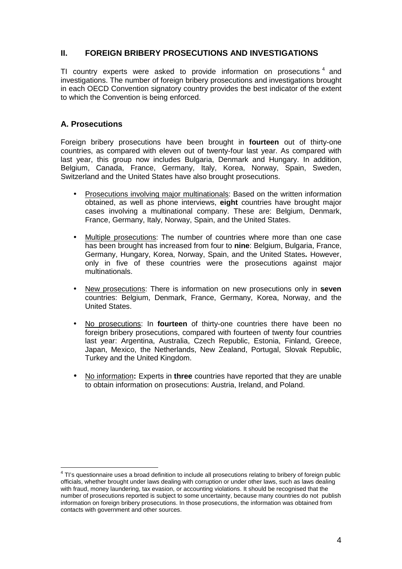# **II. FOREIGN BRIBERY PROSECUTIONS AND INVESTIGATIONS**

TI country experts were asked to provide information on prosecutions  $4$  and investigations. The number of foreign bribery prosecutions and investigations brought in each OECD Convention signatory country provides the best indicator of the extent to which the Convention is being enforced.

# **A. Prosecutions**

Foreign bribery prosecutions have been brought in **fourteen** out of thirty-one countries, as compared with eleven out of twenty-four last year. As compared with last year, this group now includes Bulgaria, Denmark and Hungary. In addition, Belgium, Canada, France, Germany, Italy, Korea, Norway, Spain, Sweden, Switzerland and the United States have also brought prosecutions.

- Prosecutions involving major multinationals: Based on the written information obtained, as well as phone interviews, **eight** countries have brought major cases involving a multinational company. These are: Belgium, Denmark, France, Germany, Italy, Norway, Spain, and the United States.
- Multiple prosecutions: The number of countries where more than one case has been brought has increased from four to **nine**: Belgium, Bulgaria, France, Germany, Hungary, Korea, Norway, Spain, and the United States**.** However, only in five of these countries were the prosecutions against major multinationals.
- New prosecutions: There is information on new prosecutions only in **seven** countries: Belgium, Denmark, France, Germany, Korea, Norway, and the United States.
- No prosecutions: In **fourteen** of thirty-one countries there have been no foreign bribery prosecutions, compared with fourteen of twenty four countries last year: Argentina, Australia, Czech Republic, Estonia, Finland, Greece, Japan, Mexico, the Netherlands, New Zealand, Portugal, Slovak Republic, Turkey and the United Kingdom.
- No information**:** Experts in **three** countries have reported that they are unable to obtain information on prosecutions: Austria, Ireland, and Poland.

 4 TI's questionnaire uses a broad definition to include all prosecutions relating to bribery of foreign public officials, whether brought under laws dealing with corruption or under other laws, such as laws dealing with fraud, money laundering, tax evasion, or accounting violations. It should be recognised that the number of prosecutions reported is subject to some uncertainty, because many countries do not publish information on foreign bribery prosecutions. In those prosecutions, the information was obtained from contacts with government and other sources.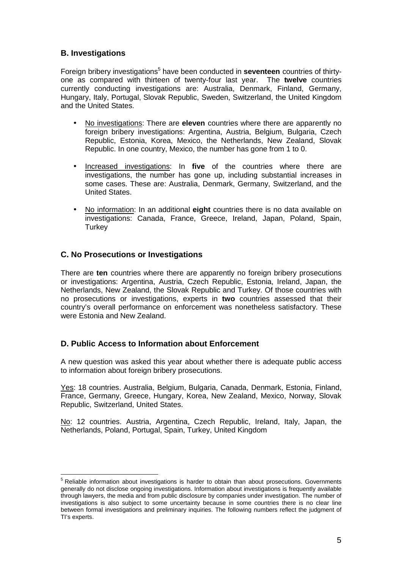# **B. Investigations**

Foreign bribery investigations<sup>5</sup> have been conducted in **seventeen** countries of thirtyone as compared with thirteen of twenty-four last year. The **twelve** countries currently conducting investigations are: Australia, Denmark, Finland, Germany, Hungary, Italy, Portugal, Slovak Republic, Sweden, Switzerland, the United Kingdom and the United States.

- No investigations: There are **eleven** countries where there are apparently no foreign bribery investigations: Argentina, Austria, Belgium, Bulgaria, Czech Republic, Estonia, Korea, Mexico, the Netherlands, New Zealand, Slovak Republic. In one country, Mexico, the number has gone from 1 to 0.
- Increased investigations: In **five** of the countries where there are investigations, the number has gone up, including substantial increases in some cases. These are: Australia, Denmark, Germany, Switzerland, and the United States.
- No information: In an additional **eight** countries there is no data available on investigations: Canada, France, Greece, Ireland, Japan, Poland, Spain, **Turkey**

# **C. No Prosecutions or Investigations**

There are **ten** countries where there are apparently no foreign bribery prosecutions or investigations: Argentina, Austria, Czech Republic, Estonia, Ireland, Japan, the Netherlands, New Zealand, the Slovak Republic and Turkey. Of those countries with no prosecutions or investigations, experts in **two** countries assessed that their country's overall performance on enforcement was nonetheless satisfactory. These were Estonia and New Zealand.

# **D. Public Access to Information about Enforcement**

A new question was asked this year about whether there is adequate public access to information about foreign bribery prosecutions.

Yes: 18 countries. Australia, Belgium, Bulgaria, Canada, Denmark, Estonia, Finland, France, Germany, Greece, Hungary, Korea, New Zealand, Mexico, Norway, Slovak Republic, Switzerland, United States.

No: 12 countries. Austria, Argentina, Czech Republic, Ireland, Italy, Japan, the Netherlands, Poland, Portugal, Spain, Turkey, United Kingdom

**EXECTS**<br><sup>5</sup> Reliable information about investigations is harder to obtain than about prosecutions. Governments generally do not disclose ongoing investigations. Information about investigations is frequently available through lawyers, the media and from public disclosure by companies under investigation. The number of investigations is also subject to some uncertainty because in some countries there is no clear line between formal investigations and preliminary inquiries. The following numbers reflect the judgment of TI's experts.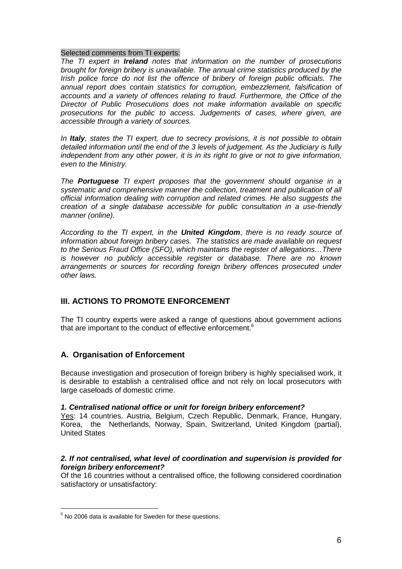#### Selected comments from TI experts:

The TI expert in **Ireland** notes that information on the number of prosecutions brought for foreign bribery is unavailable. The annual crime statistics produced by the Irish police force do not list the offence of bribery of foreign public officials. The annual report does contain statistics for corruption, embezzlement, falsification of accounts and a variety of offences relating to fraud. Furthermore, the Office of the Director of Public Prosecutions does not make information available on specific prosecutions for the public to access. Judgements of cases, where given, are accessible through a variety of sources.

In **Italy**, states the TI expert, due to secrecy provisions, it is not possible to obtain detailed information until the end of the 3 levels of judgement. As the Judiciary is fully independent from any other power, it is in its right to give or not to give information, even to the Ministry.

The **Portuguese** TI expert proposes that the government should organise in a systematic and comprehensive manner the collection, treatment and publication of all official information dealing with corruption and related crimes. He also suggests the creation of a single database accessible for public consultation in a use-friendly manner (online).

According to the TI expert, in the **United Kingdom**, there is no ready source of information about foreign bribery cases. The statistics are made available on request to the Serious Fraud Office (SFO), which maintains the register of allegations…There is however no publicly accessible register or database. There are no known arrangements or sources for recording foreign bribery offences prosecuted under other laws.

# **III. ACTIONS TO PROMOTE ENFORCEMENT**

The TI country experts were asked a range of questions about government actions that are important to the conduct of effective enforcement.<sup>6</sup>

# **A. Organisation of Enforcement**

Because investigation and prosecution of foreign bribery is highly specialised work, it is desirable to establish a centralised office and not rely on local prosecutors with large caseloads of domestic crime.

#### **1. Centralised national office or unit for foreign bribery enforcement?**

Yes: 14 countries. Austria, Belgium, Czech Republic, Denmark, France, Hungary, Korea, the Netherlands, Norway, Spain, Switzerland, United Kingdom (partial), United States

#### **2. If not centralised, what level of coordination and supervision is provided for foreign bribery enforcement?**

Of the 16 countries without a centralised office, the following considered coordination satisfactory or unsatisfactory:

 $\overline{a}$ 

 $6$  No 2006 data is available for Sweden for these questions.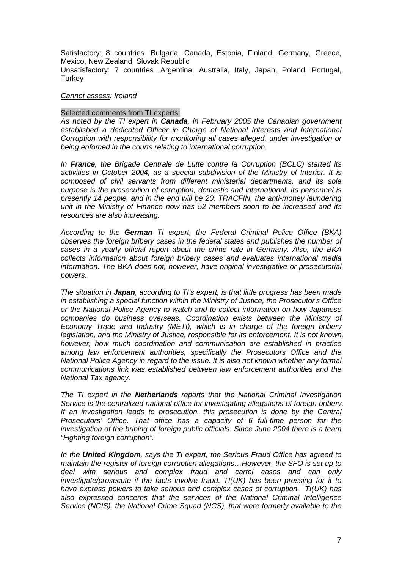Satisfactory: 8 countries. Bulgaria, Canada, Estonia, Finland, Germany, Greece, Mexico, New Zealand, Slovak Republic

Unsatisfactory: 7 countries. Argentina, Australia, Italy, Japan, Poland, Portugal, **Turkey** 

#### Cannot assess: Ireland

#### Selected comments from TI experts:

As noted by the TI expert in **Canada**, in February 2005 the Canadian government established a dedicated Officer in Charge of National Interests and International Corruption with responsibility for monitoring all cases alleged, under investigation or being enforced in the courts relating to international corruption.

In **France**, the Brigade Centrale de Lutte contre la Corruption (BCLC) started its activities in October 2004, as a special subdivision of the Ministry of Interior. It is composed of civil servants from different ministerial departments, and its sole purpose is the prosecution of corruption, domestic and international. Its personnel is presently 14 people, and in the end will be 20. TRACFIN, the anti-money laundering unit in the Ministry of Finance now has 52 members soon to be increased and its resources are also increasing.

According to the **German** TI expert, the Federal Criminal Police Office (BKA) observes the foreign bribery cases in the federal states and publishes the number of cases in a yearly official report about the crime rate in Germany. Also, the BKA collects information about foreign bribery cases and evaluates international media information. The BKA does not, however, have original investigative or prosecutorial powers.

The situation in **Japan**, according to TI's expert, is that little progress has been made in establishing a special function within the Ministry of Justice, the Prosecutor's Office or the National Police Agency to watch and to collect information on how Japanese companies do business overseas. Coordination exists between the Ministry of Economy Trade and Industry (METI), which is in charge of the foreign bribery legislation, and the Ministry of Justice, responsible for its enforcement. It is not known, however, how much coordination and communication are established in practice among law enforcement authorities, specifically the Prosecutors Office and the National Police Agency in regard to the issue. It is also not known whether any formal communications link was established between law enforcement authorities and the National Tax agency.

The TI expert in the **Netherlands** reports that the National Criminal Investigation Service is the centralized national office for investigating allegations of foreign bribery. If an investigation leads to prosecution, this prosecution is done by the Central Prosecutors' Office. That office has a capacity of 6 full-time person for the investigation of the bribing of foreign public officials. Since June 2004 there is a team "Fighting foreign corruption".

In the **United Kingdom**, says the TI expert, the Serious Fraud Office has agreed to maintain the register of foreign corruption allegations…However, the SFO is set up to deal with serious and complex fraud and cartel cases and can only investigate/prosecute if the facts involve fraud. TI(UK) has been pressing for it to have express powers to take serious and complex cases of corruption. TI(UK) has also expressed concerns that the services of the National Criminal Intelligence Service (NCIS), the National Crime Squad (NCS), that were formerly available to the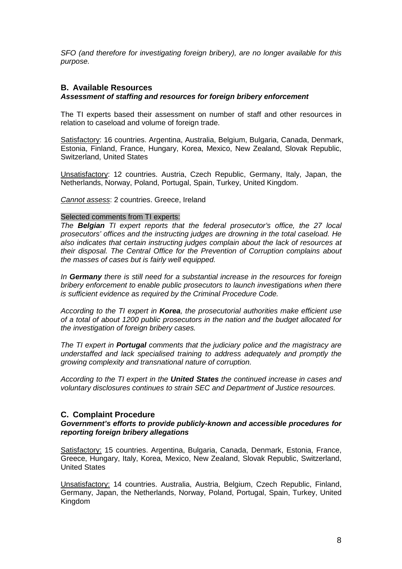SFO (and therefore for investigating foreign bribery), are no longer available for this purpose.

## **B. Available Resources**

#### **Assessment of staffing and resources for foreign bribery enforcement**

The TI experts based their assessment on number of staff and other resources in relation to caseload and volume of foreign trade.

Satisfactory: 16 countries. Argentina, Australia, Belgium, Bulgaria, Canada, Denmark, Estonia, Finland, France, Hungary, Korea, Mexico, New Zealand, Slovak Republic, Switzerland, United States

Unsatisfactory: 12 countries. Austria, Czech Republic, Germany, Italy, Japan, the Netherlands, Norway, Poland, Portugal, Spain, Turkey, United Kingdom.

Cannot assess: 2 countries. Greece, Ireland

#### Selected comments from TI experts:

The **Belgian** TI expert reports that the federal prosecutor's office, the 27 local prosecutors' offices and the instructing judges are drowning in the total caseload. He also indicates that certain instructing judges complain about the lack of resources at their disposal. The Central Office for the Prevention of Corruption complains about the masses of cases but is fairly well equipped.

In **Germany** there is still need for a substantial increase in the resources for foreign bribery enforcement to enable public prosecutors to launch investigations when there is sufficient evidence as required by the Criminal Procedure Code.

According to the TI expert in **Korea**, the prosecutorial authorities make efficient use of a total of about 1200 public prosecutors in the nation and the budget allocated for the investigation of foreign bribery cases.

The TI expert in **Portugal** comments that the judiciary police and the magistracy are understaffed and lack specialised training to address adequately and promptly the growing complexity and transnational nature of corruption.

According to the TI expert in the **United States** the continued increase in cases and voluntary disclosures continues to strain SEC and Department of Justice resources.

#### **C. Complaint Procedure**

#### **Government's efforts to provide publicly-known and accessible procedures for reporting foreign bribery allegations**

Satisfactory: 15 countries. Argentina, Bulgaria, Canada, Denmark, Estonia, France, Greece, Hungary, Italy, Korea, Mexico, New Zealand, Slovak Republic, Switzerland, United States

Unsatisfactory: 14 countries. Australia, Austria, Belgium, Czech Republic, Finland, Germany, Japan, the Netherlands, Norway, Poland, Portugal, Spain, Turkey, United Kingdom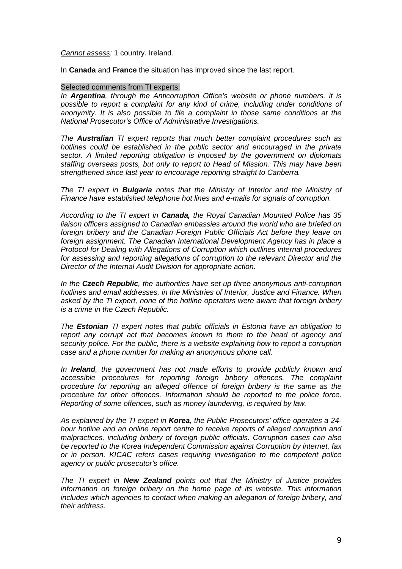#### Cannot assess: 1 country. Ireland.

In **Canada** and **France** the situation has improved since the last report.

#### Selected comments from TI experts:

In **Argentina**, through the Anticorruption Office's website or phone numbers, it is possible to report a complaint for any kind of crime, including under conditions of anonymity. It is also possible to file a complaint in those same conditions at the National Prosecutor's Office of Administrative Investigations.

The **Australian** TI expert reports that much better complaint procedures such as hotlines could be established in the public sector and encouraged in the private sector. A limited reporting obligation is imposed by the government on diplomats staffing overseas posts, but only to report to Head of Mission. This may have been strengthened since last year to encourage reporting straight to Canberra.

The TI expert in **Bulgaria** notes that the Ministry of Interior and the Ministry of Finance have established telephone hot lines and e-mails for signals of corruption.

According to the TI expert in **Canada,** the Royal Canadian Mounted Police has 35 liaison officers assigned to Canadian embassies around the world who are briefed on foreign bribery and the Canadian Foreign Public Officials Act before they leave on foreign assignment. The Canadian International Development Agency has in place a Protocol for Dealing with Allegations of Corruption which outlines internal procedures for assessing and reporting allegations of corruption to the relevant Director and the Director of the Internal Audit Division for appropriate action.

In the **Czech Republic**, the authorities have set up three anonymous anti-corruption hotlines and email addresses, in the Ministries of Interior, Justice and Finance. When asked by the TI expert, none of the hotline operators were aware that foreign bribery is a crime in the Czech Republic.

The **Estonian** TI expert notes that public officials in Estonia have an obligation to report any corrupt act that becomes known to them to the head of agency and security police. For the public, there is a website explaining how to report a corruption case and a phone number for making an anonymous phone call.

In **Ireland**, the government has not made efforts to provide publicly known and accessible procedures for reporting foreign bribery offences. The complaint procedure for reporting an alleged offence of foreign bribery is the same as the procedure for other offences. Information should be reported to the police force. Reporting of some offences, such as money laundering, is required by law.

As explained by the TI expert in **Korea**, the Public Prosecutors' office operates a 24 hour hotline and an online report centre to receive reports of alleged corruption and malpractices, including bribery of foreign public officials. Corruption cases can also be reported to the Korea Independent Commission against Corruption by internet, fax or in person. KICAC refers cases requiring investigation to the competent police agency or public prosecutor's office.

The TI expert in **New Zealand** points out that the Ministry of Justice provides information on foreign bribery on the home page of its website. This information includes which agencies to contact when making an allegation of foreign bribery, and their address.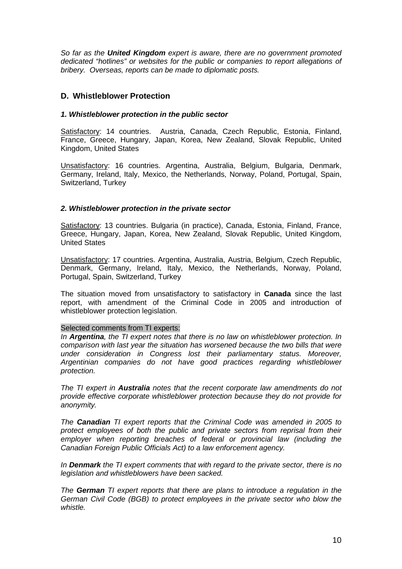So far as the **United Kingdom** expert is aware, there are no government promoted dedicated "hotlines" or websites for the public or companies to report allegations of bribery. Overseas, reports can be made to diplomatic posts.

## **D. Whistleblower Protection**

#### **1. Whistleblower protection in the public sector**

Satisfactory: 14 countries. Austria, Canada, Czech Republic, Estonia, Finland, France, Greece, Hungary, Japan, Korea, New Zealand, Slovak Republic, United Kingdom, United States

Unsatisfactory: 16 countries. Argentina, Australia, Belgium, Bulgaria, Denmark, Germany, Ireland, Italy, Mexico, the Netherlands, Norway, Poland, Portugal, Spain, Switzerland, Turkey

#### **2. Whistleblower protection in the private sector**

Satisfactory: 13 countries. Bulgaria (in practice), Canada, Estonia, Finland, France, Greece, Hungary, Japan, Korea, New Zealand, Slovak Republic, United Kingdom, United States

Unsatisfactory: 17 countries. Argentina, Australia, Austria, Belgium, Czech Republic, Denmark, Germany, Ireland, Italy, Mexico, the Netherlands, Norway, Poland, Portugal, Spain, Switzerland, Turkey

The situation moved from unsatisfactory to satisfactory in **Canada** since the last report, with amendment of the Criminal Code in 2005 and introduction of whistleblower protection legislation.

#### Selected comments from TI experts:

In **Argentina**, the TI expert notes that there is no law on whistleblower protection. In comparison with last year the situation has worsened because the two bills that were under consideration in Congress lost their parliamentary status. Moreover, Argentinian companies do not have good practices regarding whistleblower protection.

The TI expert in **Australia** notes that the recent corporate law amendments do not provide effective corporate whistleblower protection because they do not provide for anonymity.

The **Canadian** TI expert reports that the Criminal Code was amended in 2005 to protect employees of both the public and private sectors from reprisal from their employer when reporting breaches of federal or provincial law (including the Canadian Foreign Public Officials Act) to a law enforcement agency.

In **Denmark** the TI expert comments that with regard to the private sector, there is no legislation and whistleblowers have been sacked.

The **German** TI expert reports that there are plans to introduce a regulation in the German Civil Code (BGB) to protect employees in the private sector who blow the whistle.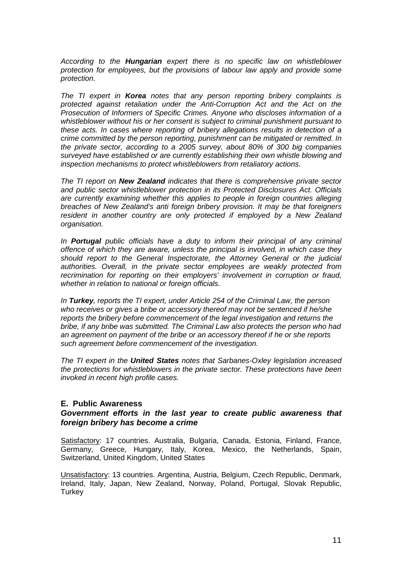According to the **Hungarian** expert there is no specific law on whistleblower protection for employees, but the provisions of labour law apply and provide some protection.

The TI expert in **Korea** notes that any person reporting bribery complaints is protected against retaliation under the Anti-Corruption Act and the Act on the Prosecution of Informers of Specific Crimes. Anyone who discloses information of a whistleblower without his or her consent is subject to criminal punishment pursuant to these acts. In cases where reporting of bribery allegations results in detection of a crime committed by the person reporting, punishment can be mitigated or remitted. In the private sector, according to a 2005 survey, about 80% of 300 big companies surveyed have established or are currently establishing their own whistle blowing and inspection mechanisms to protect whistleblowers from retaliatory actions.

The TI report on **New Zealand** indicates that there is comprehensive private sector and public sector whistleblower protection in its Protected Disclosures Act. Officials are currently examining whether this applies to people in foreign countries alleging breaches of New Zealand's anti foreign bribery provision. It may be that foreigners resident in another country are only protected if employed by a New Zealand organisation.

In **Portugal** public officials have a duty to inform their principal of any criminal offence of which they are aware, unless the principal is involved, in which case they should report to the General Inspectorate, the Attorney General or the judicial authorities. Overall, in the private sector employees are weakly protected from recrimination for reporting on their employers' involvement in corruption or fraud, whether in relation to national or foreign officials.

In **Turkey**, reports the TI expert, under Article 254 of the Criminal Law, the person who receives or gives a bribe or accessory thereof may not be sentenced if he/she reports the bribery before commencement of the legal investigation and returns the bribe, if any bribe was submitted. The Criminal Law also protects the person who had an agreement on payment of the bribe or an accessory thereof if he or she reports such agreement before commencement of the investigation.

The TI expert in the **United States** notes that Sarbanes-Oxley legislation increased the protections for whistleblowers in the private sector. These protections have been invoked in recent high profile cases.

#### **E. Public Awareness**

#### **Government efforts in the last year to create public awareness that foreign bribery has become a crime**

Satisfactory: 17 countries. Australia, Bulgaria, Canada, Estonia, Finland, France, Germany, Greece, Hungary, Italy, Korea, Mexico, the Netherlands, Spain, Switzerland, United Kingdom, United States

Unsatisfactory: 13 countries. Argentina, Austria, Belgium, Czech Republic, Denmark, Ireland, Italy, Japan, New Zealand, Norway, Poland, Portugal, Slovak Republic, **Turkey**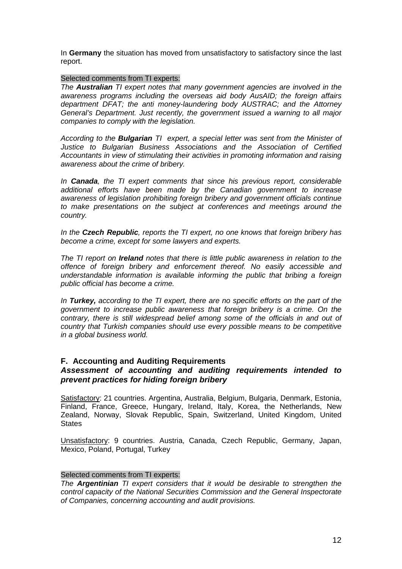In **Germany** the situation has moved from unsatisfactory to satisfactory since the last report.

### Selected comments from TI experts:

The **Australian** TI expert notes that many government agencies are involved in the awareness programs including the overseas aid body AusAID; the foreign affairs department DFAT; the anti money-laundering body AUSTRAC; and the Attorney General's Department. Just recently, the government issued a warning to all major companies to comply with the legislation.

According to the **Bulgarian** TI expert, a special letter was sent from the Minister of Justice to Bulgarian Business Associations and the Association of Certified Accountants in view of stimulating their activities in promoting information and raising awareness about the crime of bribery.

In **Canada**, the TI expert comments that since his previous report, considerable additional efforts have been made by the Canadian government to increase awareness of legislation prohibiting foreign bribery and government officials continue to make presentations on the subject at conferences and meetings around the country.

In the **Czech Republic**, reports the TI expert, no one knows that foreign bribery has become a crime, except for some lawyers and experts.

The TI report on **Ireland** notes that there is little public awareness in relation to the offence of foreign bribery and enforcement thereof. No easily accessible and understandable information is available informing the public that bribing a foreign public official has become a crime.

In **Turkey,** according to the TI expert, there are no specific efforts on the part of the government to increase public awareness that foreign bribery is a crime. On the contrary, there is still widespread belief among some of the officials in and out of country that Turkish companies should use every possible means to be competitive in a global business world.

#### **F. Accounting and Auditing Requirements**

#### **Assessment of accounting and auditing requirements intended to prevent practices for hiding foreign bribery**

Satisfactory: 21 countries. Argentina, Australia, Belgium, Bulgaria, Denmark, Estonia, Finland, France, Greece, Hungary, Ireland, Italy, Korea, the Netherlands, New Zealand, Norway, Slovak Republic, Spain, Switzerland, United Kingdom, United **States** 

Unsatisfactory: 9 countries. Austria, Canada, Czech Republic, Germany, Japan, Mexico, Poland, Portugal, Turkey

#### Selected comments from TI experts:

The **Argentinian** TI expert considers that it would be desirable to strengthen the control capacity of the National Securities Commission and the General Inspectorate of Companies, concerning accounting and audit provisions.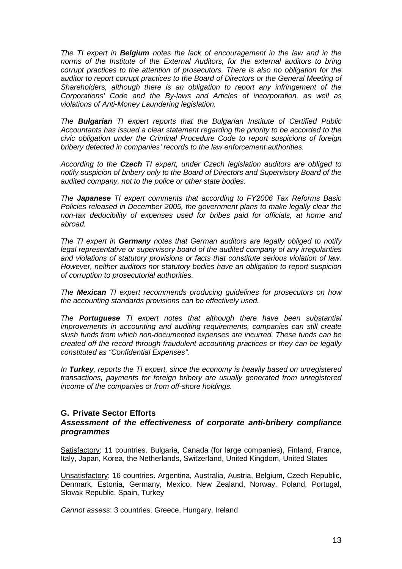The TI expert in **Belgium** notes the lack of encouragement in the law and in the norms of the Institute of the External Auditors, for the external auditors to bring corrupt practices to the attention of prosecutors. There is also no obligation for the auditor to report corrupt practices to the Board of Directors or the General Meeting of Shareholders, although there is an obligation to report any infringement of the Corporations' Code and the By-laws and Articles of incorporation, as well as violations of Anti-Money Laundering legislation.

The **Bulgarian** TI expert reports that the Bulgarian Institute of Certified Public Accountants has issued a clear statement regarding the priority to be accorded to the civic obligation under the Criminal Procedure Code to report suspicions of foreign bribery detected in companies' records to the law enforcement authorities.

According to the **Czech** TI expert, under Czech legislation auditors are obliged to notify suspicion of bribery only to the Board of Directors and Supervisory Board of the audited company, not to the police or other state bodies.

The **Japanese** TI expert comments that according to FY2006 Tax Reforms Basic Policies released in December 2005, the government plans to make legally clear the non-tax deducibility of expenses used for bribes paid for officials, at home and abroad.

The TI expert in **Germany** notes that German auditors are legally obliged to notify legal representative or supervisory board of the audited company of any irregularities and violations of statutory provisions or facts that constitute serious violation of law. However, neither auditors nor statutory bodies have an obligation to report suspicion of corruption to prosecutorial authorities.

The **Mexican** TI expert recommends producing guidelines for prosecutors on how the accounting standards provisions can be effectively used.

The **Portuguese** TI expert notes that although there have been substantial improvements in accounting and auditing requirements, companies can still create slush funds from which non-documented expenses are incurred. These funds can be created off the record through fraudulent accounting practices or they can be legally constituted as "Confidential Expenses".

In **Turkey**, reports the TI expert, since the economy is heavily based on unregistered transactions, payments for foreign bribery are usually generated from unregistered income of the companies or from off-shore holdings.

#### **G. Private Sector Efforts**

## **Assessment of the effectiveness of corporate anti-bribery compliance programmes**

Satisfactory: 11 countries. Bulgaria, Canada (for large companies), Finland, France, Italy, Japan, Korea, the Netherlands, Switzerland, United Kingdom, United States

Unsatisfactory: 16 countries. Argentina, Australia, Austria, Belgium, Czech Republic, Denmark, Estonia, Germany, Mexico, New Zealand, Norway, Poland, Portugal, Slovak Republic, Spain, Turkey

Cannot assess: 3 countries. Greece, Hungary, Ireland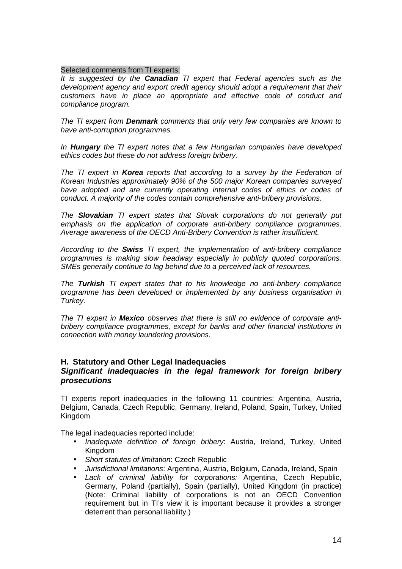#### Selected comments from TI experts:

It is suggested by the **Canadian** TI expert that Federal agencies such as the development agency and export credit agency should adopt a requirement that their customers have in place an appropriate and effective code of conduct and compliance program.

The TI expert from **Denmark** comments that only very few companies are known to have anti-corruption programmes.

In **Hungary** the TI expert notes that a few Hungarian companies have developed ethics codes but these do not address foreign bribery.

The TI expert in **Korea** reports that according to a survey by the Federation of Korean Industries approximately 90% of the 500 major Korean companies surveyed have adopted and are currently operating internal codes of ethics or codes of conduct. A majority of the codes contain comprehensive anti-bribery provisions.

The **Slovakian** TI expert states that Slovak corporations do not generally put emphasis on the application of corporate anti-bribery compliance programmes. Average awareness of the OECD Anti-Bribery Convention is rather insufficient.

According to the **Swiss** TI expert, the implementation of anti-bribery compliance programmes is making slow headway especially in publicly quoted corporations. SMEs generally continue to lag behind due to a perceived lack of resources.

The **Turkish** TI expert states that to his knowledge no anti-bribery compliance programme has been developed or implemented by any business organisation in Turkey.

The TI expert in **Mexico** observes that there is still no evidence of corporate antibribery compliance programmes, except for banks and other financial institutions in connection with money laundering provisions.

#### **H. Statutory and Other Legal Inadequacies**

#### **Significant inadequacies in the legal framework for foreign bribery prosecutions**

TI experts report inadequacies in the following 11 countries: Argentina, Austria, Belgium, Canada, Czech Republic, Germany, Ireland, Poland, Spain, Turkey, United Kingdom

The legal inadequacies reported include:

- Inadequate definition of foreign bribery: Austria, Ireland, Turkey, United Kingdom
- Short statutes of limitation: Czech Republic
- Jurisdictional limitations: Argentina, Austria, Belgium, Canada, Ireland, Spain
- Lack of criminal liability for corporations: Argentina, Czech Republic, Germany, Poland (partially), Spain (partially), United Kingdom (in practice) (Note: Criminal liability of corporations is not an OECD Convention requirement but in TI's view it is important because it provides a stronger deterrent than personal liability.)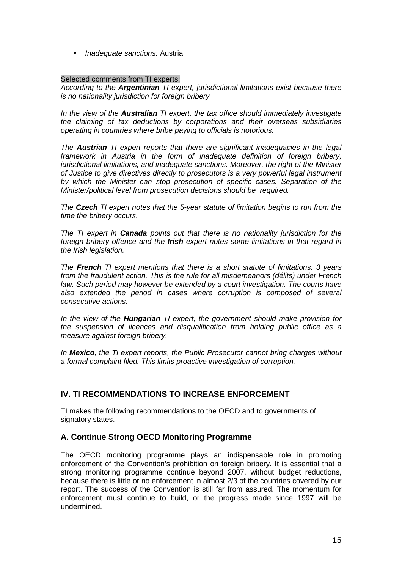• Inadequate sanctions: Austria

#### Selected comments from TI experts:

According to the **Argentinian** TI expert, jurisdictional limitations exist because there is no nationality jurisdiction for foreign bribery

In the view of the **Australian** TI expert, the tax office should immediately investigate the claiming of tax deductions by corporations and their overseas subsidiaries operating in countries where bribe paying to officials is notorious.

The **Austrian** TI expert reports that there are significant inadequacies in the legal framework in Austria in the form of inadequate definition of foreign bribery, jurisdictional limitations, and inadequate sanctions. Moreover, the right of the Minister of Justice to give directives directly to prosecutors is a very powerful legal instrument by which the Minister can stop prosecution of specific cases. Separation of the Minister/political level from prosecution decisions should be required.

The **Czech** TI expert notes that the 5-year statute of limitation begins to run from the time the bribery occurs.

The TI expert in **Canada** points out that there is no nationality jurisdiction for the foreign bribery offence and the **Irish** expert notes some limitations in that regard in the Irish legislation.

The **French** TI expert mentions that there is a short statute of limitations: 3 years from the fraudulent action. This is the rule for all misdemeanors (délits) under French law. Such period may however be extended by a court investigation. The courts have also extended the period in cases where corruption is composed of several consecutive actions.

In the view of the **Hungarian** TI expert, the government should make provision for the suspension of licences and disqualification from holding public office as a measure against foreign bribery.

In **Mexico**, the TI expert reports, the Public Prosecutor cannot bring charges without a formal complaint filed. This limits proactive investigation of corruption.

# **IV. TI RECOMMENDATIONS TO INCREASE ENFORCEMENT**

TI makes the following recommendations to the OECD and to governments of signatory states.

# **A. Continue Strong OECD Monitoring Programme**

The OECD monitoring programme plays an indispensable role in promoting enforcement of the Convention's prohibition on foreign bribery. It is essential that a strong monitoring programme continue beyond 2007, without budget reductions, because there is little or no enforcement in almost 2/3 of the countries covered by our report. The success of the Convention is still far from assured. The momentum for enforcement must continue to build, or the progress made since 1997 will be undermined.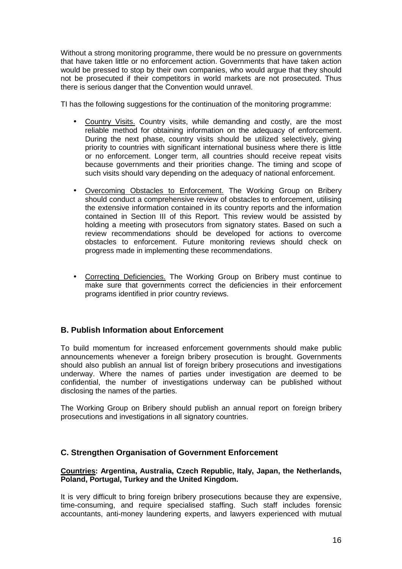Without a strong monitoring programme, there would be no pressure on governments that have taken little or no enforcement action. Governments that have taken action would be pressed to stop by their own companies, who would argue that they should not be prosecuted if their competitors in world markets are not prosecuted. Thus there is serious danger that the Convention would unravel.

TI has the following suggestions for the continuation of the monitoring programme:

- Country Visits. Country visits, while demanding and costly, are the most reliable method for obtaining information on the adequacy of enforcement. During the next phase, country visits should be utilized selectively, giving priority to countries with significant international business where there is little or no enforcement. Longer term, all countries should receive repeat visits because governments and their priorities change. The timing and scope of such visits should vary depending on the adequacy of national enforcement.
- Overcoming Obstacles to Enforcement. The Working Group on Bribery should conduct a comprehensive review of obstacles to enforcement, utilising the extensive information contained in its country reports and the information contained in Section III of this Report. This review would be assisted by holding a meeting with prosecutors from signatory states. Based on such a review recommendations should be developed for actions to overcome obstacles to enforcement. Future monitoring reviews should check on progress made in implementing these recommendations.
- Correcting Deficiencies. The Working Group on Bribery must continue to make sure that governments correct the deficiencies in their enforcement programs identified in prior country reviews.

# **B. Publish Information about Enforcement**

To build momentum for increased enforcement governments should make public announcements whenever a foreign bribery prosecution is brought. Governments should also publish an annual list of foreign bribery prosecutions and investigations underway. Where the names of parties under investigation are deemed to be confidential, the number of investigations underway can be published without disclosing the names of the parties.

The Working Group on Bribery should publish an annual report on foreign bribery prosecutions and investigations in all signatory countries.

# **C. Strengthen Organisation of Government Enforcement**

#### **Countries: Argentina, Australia, Czech Republic, Italy, Japan, the Netherlands, Poland, Portugal, Turkey and the United Kingdom.**

It is very difficult to bring foreign bribery prosecutions because they are expensive, time-consuming, and require specialised staffing. Such staff includes forensic accountants, anti-money laundering experts, and lawyers experienced with mutual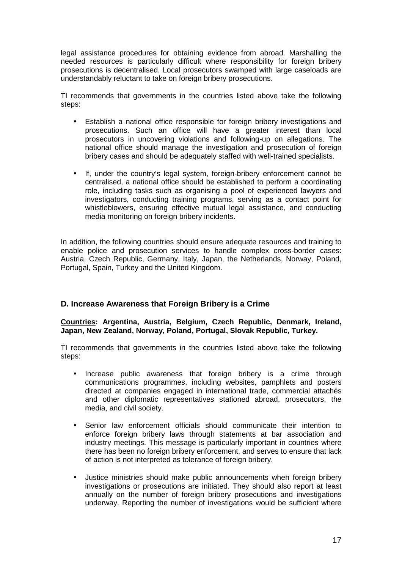legal assistance procedures for obtaining evidence from abroad. Marshalling the needed resources is particularly difficult where responsibility for foreign bribery prosecutions is decentralised. Local prosecutors swamped with large caseloads are understandably reluctant to take on foreign bribery prosecutions.

TI recommends that governments in the countries listed above take the following steps:

- Establish a national office responsible for foreign bribery investigations and prosecutions. Such an office will have a greater interest than local prosecutors in uncovering violations and following-up on allegations. The national office should manage the investigation and prosecution of foreign bribery cases and should be adequately staffed with well-trained specialists.
- If, under the country's legal system, foreign-bribery enforcement cannot be centralised, a national office should be established to perform a coordinating role, including tasks such as organising a pool of experienced lawyers and investigators, conducting training programs, serving as a contact point for whistleblowers, ensuring effective mutual legal assistance, and conducting media monitoring on foreign bribery incidents.

In addition, the following countries should ensure adequate resources and training to enable police and prosecution services to handle complex cross-border cases: Austria, Czech Republic, Germany, Italy, Japan, the Netherlands, Norway, Poland, Portugal, Spain, Turkey and the United Kingdom.

# **D. Increase Awareness that Foreign Bribery is a Crime**

### **Countries: Argentina, Austria, Belgium, Czech Republic, Denmark, Ireland, Japan, New Zealand, Norway, Poland, Portugal, Slovak Republic, Turkey.**

TI recommends that governments in the countries listed above take the following steps:

- Increase public awareness that foreign bribery is a crime through communications programmes, including websites, pamphlets and posters directed at companies engaged in international trade, commercial attachés and other diplomatic representatives stationed abroad, prosecutors, the media, and civil society.
- Senior law enforcement officials should communicate their intention to enforce foreign bribery laws through statements at bar association and industry meetings. This message is particularly important in countries where there has been no foreign bribery enforcement, and serves to ensure that lack of action is not interpreted as tolerance of foreign bribery.
- Justice ministries should make public announcements when foreign bribery investigations or prosecutions are initiated. They should also report at least annually on the number of foreign bribery prosecutions and investigations underway. Reporting the number of investigations would be sufficient where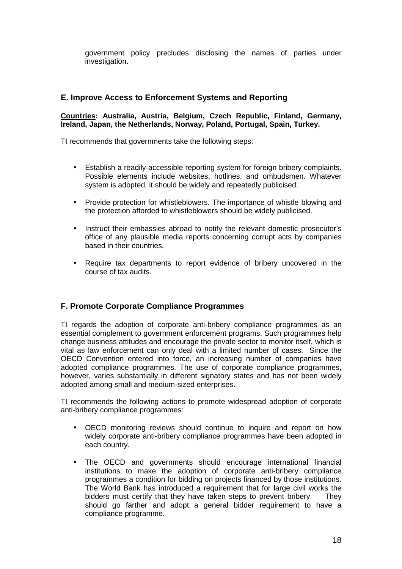government policy precludes disclosing the names of parties under investigation.

# **E. Improve Access to Enforcement Systems and Reporting**

#### **Countries: Australia, Austria, Belgium, Czech Republic, Finland, Germany, Ireland, Japan, the Netherlands, Norway, Poland, Portugal, Spain, Turkey.**

TI recommends that governments take the following steps:

- Establish a readily-accessible reporting system for foreign bribery complaints. Possible elements include websites, hotlines, and ombudsmen. Whatever system is adopted, it should be widely and repeatedly publicised.
- Provide protection for whistleblowers. The importance of whistle blowing and the protection afforded to whistleblowers should be widely publicised.
- Instruct their embassies abroad to notify the relevant domestic prosecutor's office of any plausible media reports concerning corrupt acts by companies based in their countries.
- Require tax departments to report evidence of bribery uncovered in the course of tax audits.

# **F. Promote Corporate Compliance Programmes**

TI regards the adoption of corporate anti-bribery compliance programmes as an essential complement to government enforcement programs. Such programmes help change business attitudes and encourage the private sector to monitor itself, which is vital as law enforcement can only deal with a limited number of cases. Since the OECD Convention entered into force, an increasing number of companies have adopted compliance programmes. The use of corporate compliance programmes, however, varies substantially in different signatory states and has not been widely adopted among small and medium-sized enterprises.

TI recommends the following actions to promote widespread adoption of corporate anti-bribery compliance programmes:

- OECD monitoring reviews should continue to inquire and report on how widely corporate anti-bribery compliance programmes have been adopted in each country.
- The OECD and governments should encourage international financial institutions to make the adoption of corporate anti-bribery compliance programmes a condition for bidding on projects financed by those institutions. The World Bank has introduced a requirement that for large civil works the bidders must certify that they have taken steps to prevent bribery. They should go farther and adopt a general bidder requirement to have a compliance programme.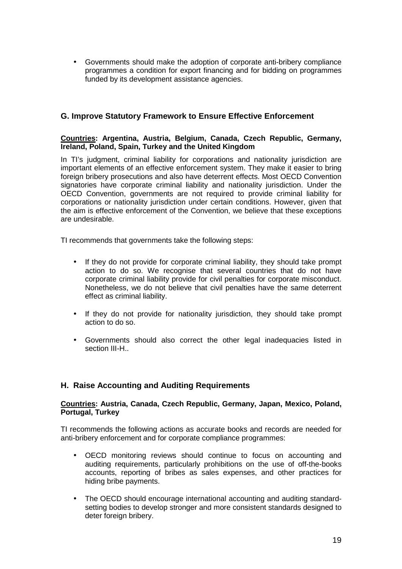• Governments should make the adoption of corporate anti-bribery compliance programmes a condition for export financing and for bidding on programmes funded by its development assistance agencies.

# **G. Improve Statutory Framework to Ensure Effective Enforcement**

#### **Countries: Argentina, Austria, Belgium, Canada, Czech Republic, Germany, Ireland, Poland, Spain, Turkey and the United Kingdom**

In TI's judgment, criminal liability for corporations and nationality jurisdiction are important elements of an effective enforcement system. They make it easier to bring foreign bribery prosecutions and also have deterrent effects. Most OECD Convention signatories have corporate criminal liability and nationality jurisdiction. Under the OECD Convention, governments are not required to provide criminal liability for corporations or nationality jurisdiction under certain conditions. However, given that the aim is effective enforcement of the Convention, we believe that these exceptions are undesirable.

TI recommends that governments take the following steps:

- If they do not provide for corporate criminal liability, they should take prompt action to do so. We recognise that several countries that do not have corporate criminal liability provide for civil penalties for corporate misconduct. Nonetheless, we do not believe that civil penalties have the same deterrent effect as criminal liability.
- If they do not provide for nationality jurisdiction, they should take prompt action to do so.
- Governments should also correct the other legal inadequacies listed in section III-H..

# **H. Raise Accounting and Auditing Requirements**

#### **Countries: Austria, Canada, Czech Republic, Germany, Japan, Mexico, Poland, Portugal, Turkey**

TI recommends the following actions as accurate books and records are needed for anti-bribery enforcement and for corporate compliance programmes:

- OECD monitoring reviews should continue to focus on accounting and auditing requirements, particularly prohibitions on the use of off-the-books accounts, reporting of bribes as sales expenses, and other practices for hiding bribe payments.
- The OECD should encourage international accounting and auditing standardsetting bodies to develop stronger and more consistent standards designed to deter foreign bribery.